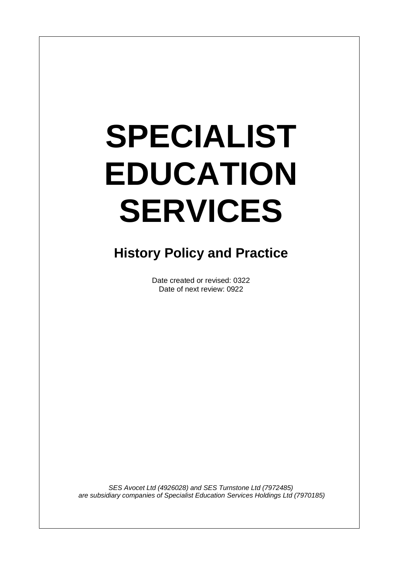# **SPECIALIST EDUCATION SERVICES**

 $\overline{\phantom{a}}$ 

# **History Policy and Practice**

Date created or revised: 0322 Date of next review: 0922

*SES Avocet Ltd (4926028) and SES Turnstone Ltd (7972485) are subsidiary companies of Specialist Education Services Holdings Ltd (7970185)*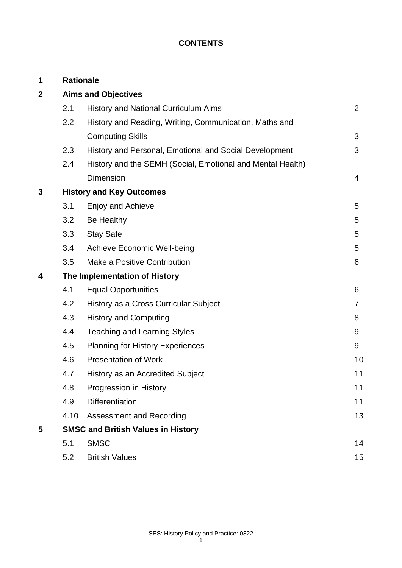# **CONTENTS**

| 1           |                                           | <b>Rationale</b>                                           |    |
|-------------|-------------------------------------------|------------------------------------------------------------|----|
| $\mathbf 2$ | <b>Aims and Objectives</b>                |                                                            |    |
|             | 2.1                                       | History and National Curriculum Aims                       | 2  |
|             | 2.2                                       | History and Reading, Writing, Communication, Maths and     |    |
|             |                                           | <b>Computing Skills</b>                                    | 3  |
|             | 2.3                                       | History and Personal, Emotional and Social Development     | 3  |
|             | 2.4                                       | History and the SEMH (Social, Emotional and Mental Health) |    |
|             |                                           | <b>Dimension</b>                                           | 4  |
| 3           |                                           | <b>History and Key Outcomes</b>                            |    |
|             | 3.1                                       | Enjoy and Achieve                                          | 5  |
|             | 3.2                                       | Be Healthy                                                 | 5  |
|             | 3.3                                       | <b>Stay Safe</b>                                           | 5  |
|             | 3.4                                       | <b>Achieve Economic Well-being</b>                         | 5  |
|             | 3.5                                       | Make a Positive Contribution                               | 6  |
| 4           | The Implementation of History             |                                                            |    |
|             | 4.1                                       | <b>Equal Opportunities</b>                                 | 6  |
|             | 4.2                                       | History as a Cross Curricular Subject                      | 7  |
|             | 4.3                                       | <b>History and Computing</b>                               | 8  |
|             | 4.4                                       | <b>Teaching and Learning Styles</b>                        | 9  |
|             | 4.5                                       | <b>Planning for History Experiences</b>                    | 9  |
|             | 4.6                                       | <b>Presentation of Work</b>                                | 10 |
|             | 4.7                                       | <b>History as an Accredited Subject</b>                    | 11 |
|             | 4.8                                       | Progression in History                                     | 11 |
|             | 4.9                                       | <b>Differentiation</b>                                     | 11 |
|             | 4.10                                      | <b>Assessment and Recording</b>                            | 13 |
| 5           | <b>SMSC and British Values in History</b> |                                                            |    |
|             | 5.1                                       | <b>SMSC</b>                                                | 14 |
|             | 5.2                                       | <b>British Values</b>                                      | 15 |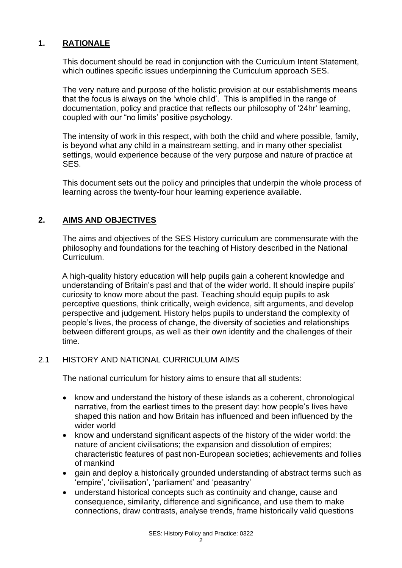# **1. RATIONALE**

This document should be read in conjunction with the Curriculum Intent Statement, which outlines specific issues underpinning the Curriculum approach SES.

The very nature and purpose of the holistic provision at our establishments means that the focus is always on the 'whole child'. This is amplified in the range of documentation, policy and practice that reflects our philosophy of '24hr' learning, coupled with our "no limits' positive psychology.

The intensity of work in this respect, with both the child and where possible, family, is beyond what any child in a mainstream setting, and in many other specialist settings, would experience because of the very purpose and nature of practice at SES.

This document sets out the policy and principles that underpin the whole process of learning across the twenty-four hour learning experience available.

# **2. AIMS AND OBJECTIVES**

The aims and objectives of the SES History curriculum are commensurate with the philosophy and foundations for the teaching of History described in the National Curriculum.

A high-quality history education will help pupils gain a coherent knowledge and understanding of Britain's past and that of the wider world. It should inspire pupils' curiosity to know more about the past. Teaching should equip pupils to ask perceptive questions, think critically, weigh evidence, sift arguments, and develop perspective and judgement. History helps pupils to understand the complexity of people's lives, the process of change, the diversity of societies and relationships between different groups, as well as their own identity and the challenges of their time.

# 2.1 HISTORY AND NATIONAL CURRICULUM AIMS

The national curriculum for history aims to ensure that all students:

- know and understand the history of these islands as a coherent, chronological narrative, from the earliest times to the present day: how people's lives have shaped this nation and how Britain has influenced and been influenced by the wider world
- know and understand significant aspects of the history of the wider world: the nature of ancient civilisations; the expansion and dissolution of empires; characteristic features of past non-European societies; achievements and follies of mankind
- gain and deploy a historically grounded understanding of abstract terms such as 'empire', 'civilisation', 'parliament' and 'peasantry'
- understand historical concepts such as continuity and change, cause and consequence, similarity, difference and significance, and use them to make connections, draw contrasts, analyse trends, frame historically valid questions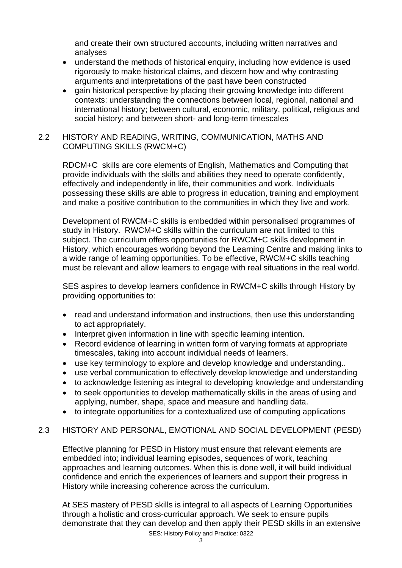and create their own structured accounts, including written narratives and analyses

- understand the methods of historical enquiry, including how evidence is used rigorously to make historical claims, and discern how and why contrasting arguments and interpretations of the past have been constructed
- gain historical perspective by placing their growing knowledge into different contexts: understanding the connections between local, regional, national and international history; between cultural, economic, military, political, religious and social history; and between short- and long-term timescales

# 2.2 HISTORY AND READING, WRITING, COMMUNICATION, MATHS AND COMPUTING SKILLS (RWCM+C)

RDCM+C skills are core elements of English, Mathematics and Computing that provide individuals with the skills and abilities they need to operate confidently, effectively and independently in life, their communities and work. Individuals possessing these skills are able to progress in education, training and employment and make a positive contribution to the communities in which they live and work.

Development of RWCM+C skills is embedded within personalised programmes of study in History. RWCM+C skills within the curriculum are not limited to this subject. The curriculum offers opportunities for RWCM+C skills development in History, which encourages working beyond the Learning Centre and making links to a wide range of learning opportunities. To be effective, RWCM+C skills teaching must be relevant and allow learners to engage with real situations in the real world.

SES aspires to develop learners confidence in RWCM+C skills through History by providing opportunities to:

- read and understand information and instructions, then use this understanding to act appropriately.
- Interpret given information in line with specific learning intention.
- Record evidence of learning in written form of varying formats at appropriate timescales, taking into account individual needs of learners.
- use key terminology to explore and develop knowledge and understanding..
- use verbal communication to effectively develop knowledge and understanding
- to acknowledge listening as integral to developing knowledge and understanding
- to seek opportunities to develop mathematically skills in the areas of using and applying, number, shape, space and measure and handling data.
- to integrate opportunities for a contextualized use of computing applications

# 2.3 HISTORY AND PERSONAL, EMOTIONAL AND SOCIAL DEVELOPMENT (PESD)

Effective planning for PESD in History must ensure that relevant elements are embedded into; individual learning episodes, sequences of work, teaching approaches and learning outcomes. When this is done well, it will build individual confidence and enrich the experiences of learners and support their progress in History while increasing coherence across the curriculum.

SES: History Policy and Practice: 0322 At SES mastery of PESD skills is integral to all aspects of Learning Opportunities through a holistic and cross-curricular approach. We seek to ensure pupils demonstrate that they can develop and then apply their PESD skills in an extensive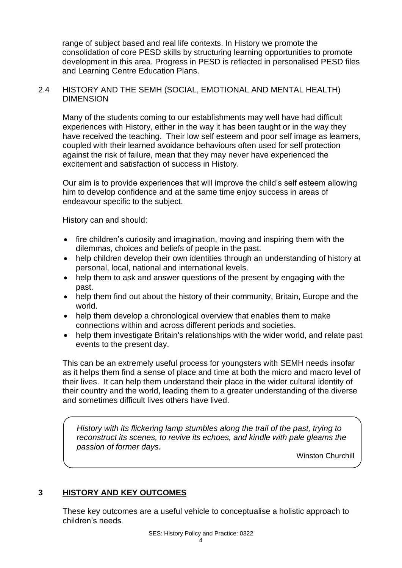range of subject based and real life contexts. In History we promote the consolidation of core PESD skills by structuring learning opportunities to promote development in this area. Progress in PESD is reflected in personalised PESD files and Learning Centre Education Plans.

#### 2.4 HISTORY AND THE SEMH (SOCIAL, EMOTIONAL AND MENTAL HEALTH) DIMENSION

Many of the students coming to our establishments may well have had difficult experiences with History, either in the way it has been taught or in the way they have received the teaching. Their low self esteem and poor self image as learners, coupled with their learned avoidance behaviours often used for self protection against the risk of failure, mean that they may never have experienced the excitement and satisfaction of success in History.

Our aim is to provide experiences that will improve the child's self esteem allowing him to develop confidence and at the same time enjoy success in areas of endeavour specific to the subject.

History can and should:

- fire children's curiosity and imagination, moving and inspiring them with the dilemmas, choices and beliefs of people in the past.
- help children develop their own identities through an understanding of history at personal, local, national and international levels.
- help them to ask and answer questions of the present by engaging with the past.
- help them find out about the history of their community, Britain, Europe and the world.
- help them develop a chronological overview that enables them to make connections within and across different periods and societies.
- help them investigate Britain's relationships with the wider world, and relate past events to the present day.

This can be an extremely useful process for youngsters with SEMH needs insofar as it helps them find a sense of place and time at both the micro and macro level of their lives. It can help them understand their place in the wider cultural identity of their country and the world, leading them to a greater understanding of the diverse and sometimes difficult lives others have lived.

*History with its flickering lamp stumbles along the trail of the past, trying to reconstruct its scenes, to revive its echoes, and kindle with pale gleams the passion of former days.*

Winston Churchill

#### **3 HISTORY AND KEY OUTCOMES**

These key outcomes are a useful vehicle to conceptualise a holistic approach to children's needs*.*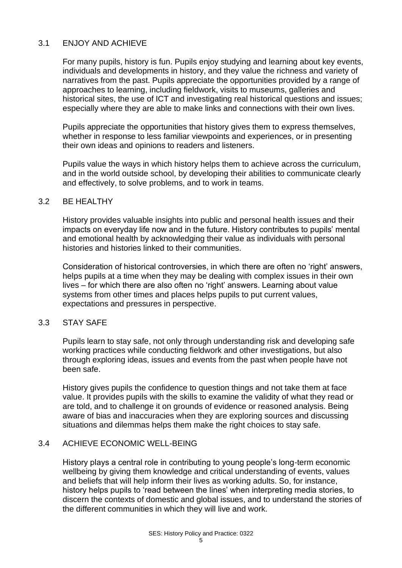# 3.1 ENJOY AND ACHIEVE

For many pupils, history is fun. Pupils enjoy studying and learning about key events, individuals and developments in history, and they value the richness and variety of narratives from the past. Pupils appreciate the opportunities provided by a range of approaches to learning, including fieldwork, visits to museums, galleries and historical sites, the use of ICT and investigating real historical questions and issues; especially where they are able to make links and connections with their own lives.

Pupils appreciate the opportunities that history gives them to express themselves, whether in response to less familiar viewpoints and experiences, or in presenting their own ideas and opinions to readers and listeners.

Pupils value the ways in which history helps them to achieve across the curriculum, and in the world outside school, by developing their abilities to communicate clearly and effectively, to solve problems, and to work in teams.

#### 3.2 BE HEALTHY

History provides valuable insights into public and personal health issues and their impacts on everyday life now and in the future. History contributes to pupils' mental and emotional health by acknowledging their value as individuals with personal histories and histories linked to their communities.

Consideration of historical controversies, in which there are often no 'right' answers, helps pupils at a time when they may be dealing with complex issues in their own lives – for which there are also often no 'right' answers. Learning about value systems from other times and places helps pupils to put current values, expectations and pressures in perspective.

#### 3.3 STAY SAFE

Pupils learn to stay safe, not only through understanding risk and developing safe working practices while conducting fieldwork and other investigations, but also through exploring ideas, issues and events from the past when people have not been safe.

History gives pupils the confidence to question things and not take them at face value. It provides pupils with the skills to examine the validity of what they read or are told, and to challenge it on grounds of evidence or reasoned analysis. Being aware of bias and inaccuracies when they are exploring sources and discussing situations and dilemmas helps them make the right choices to stay safe.

#### 3.4 ACHIEVE ECONOMIC WELL-BEING

History plays a central role in contributing to young people's long-term economic wellbeing by giving them knowledge and critical understanding of events, values and beliefs that will help inform their lives as working adults. So, for instance, history helps pupils to 'read between the lines' when interpreting media stories, to discern the contexts of domestic and global issues, and to understand the stories of the different communities in which they will live and work.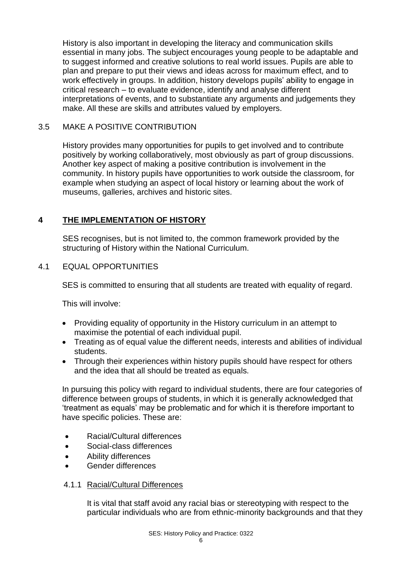History is also important in developing the literacy and communication skills essential in many jobs. The subject encourages young people to be adaptable and to suggest informed and creative solutions to real world issues. Pupils are able to plan and prepare to put their views and ideas across for maximum effect, and to work effectively in groups. In addition, history develops pupils' ability to engage in critical research – to evaluate evidence, identify and analyse different interpretations of events, and to substantiate any arguments and judgements they make. All these are skills and attributes valued by employers.

# 3.5 MAKE A POSITIVE CONTRIBUTION

History provides many opportunities for pupils to get involved and to contribute positively by working collaboratively, most obviously as part of group discussions. Another key aspect of making a positive contribution is involvement in the community. In history pupils have opportunities to work outside the classroom, for example when studying an aspect of local history or learning about the work of museums, galleries, archives and historic sites.

# **4 THE IMPLEMENTATION OF HISTORY**

SES recognises, but is not limited to, the common framework provided by the structuring of History within the National Curriculum.

# 4.1 EQUAL OPPORTUNITIES

SES is committed to ensuring that all students are treated with equality of regard.

This will involve:

- Providing equality of opportunity in the History curriculum in an attempt to maximise the potential of each individual pupil.
- Treating as of equal value the different needs, interests and abilities of individual students.
- Through their experiences within history pupils should have respect for others and the idea that all should be treated as equals.

In pursuing this policy with regard to individual students, there are four categories of difference between groups of students, in which it is generally acknowledged that 'treatment as equals' may be problematic and for which it is therefore important to have specific policies. These are:

- Racial/Cultural differences
- Social-class differences
- Ability differences
- Gender differences

#### 4.1.1 Racial/Cultural Differences

It is vital that staff avoid any racial bias or stereotyping with respect to the particular individuals who are from ethnic-minority backgrounds and that they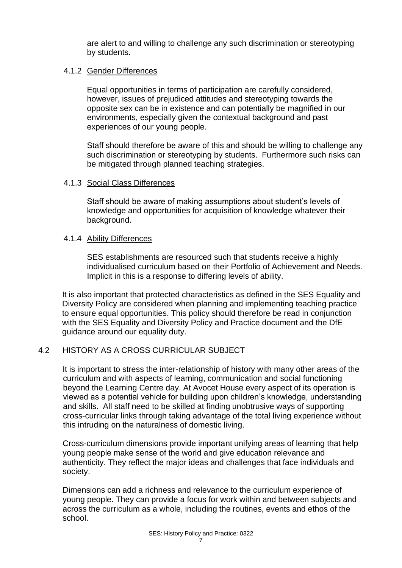are alert to and willing to challenge any such discrimination or stereotyping by students.

#### 4.1.2 Gender Differences

Equal opportunities in terms of participation are carefully considered, however, issues of prejudiced attitudes and stereotyping towards the opposite sex can be in existence and can potentially be magnified in our environments, especially given the contextual background and past experiences of our young people.

Staff should therefore be aware of this and should be willing to challenge any such discrimination or stereotyping by students. Furthermore such risks can be mitigated through planned teaching strategies.

#### 4.1.3 Social Class Differences

Staff should be aware of making assumptions about student's levels of knowledge and opportunities for acquisition of knowledge whatever their background.

#### 4.1.4 Ability Differences

SES establishments are resourced such that students receive a highly individualised curriculum based on their Portfolio of Achievement and Needs. Implicit in this is a response to differing levels of ability.

It is also important that protected characteristics as defined in the SES Equality and Diversity Policy are considered when planning and implementing teaching practice to ensure equal opportunities. This policy should therefore be read in conjunction with the SES Equality and Diversity Policy and Practice document and the DfE guidance around our equality duty.

#### 4.2 HISTORY AS A CROSS CURRICULAR SUBJECT

It is important to stress the inter-relationship of history with many other areas of the curriculum and with aspects of learning, communication and social functioning beyond the Learning Centre day. At Avocet House every aspect of its operation is viewed as a potential vehicle for building upon children's knowledge, understanding and skills. All staff need to be skilled at finding unobtrusive ways of supporting cross-curricular links through taking advantage of the total living experience without this intruding on the naturalness of domestic living.

Cross-curriculum dimensions provide important unifying areas of learning that help young people make sense of the world and give education relevance and authenticity. They reflect the major ideas and challenges that face individuals and society.

Dimensions can add a richness and relevance to the curriculum experience of young people. They can provide a focus for work within and between subjects and across the curriculum as a whole, including the routines, events and ethos of the school.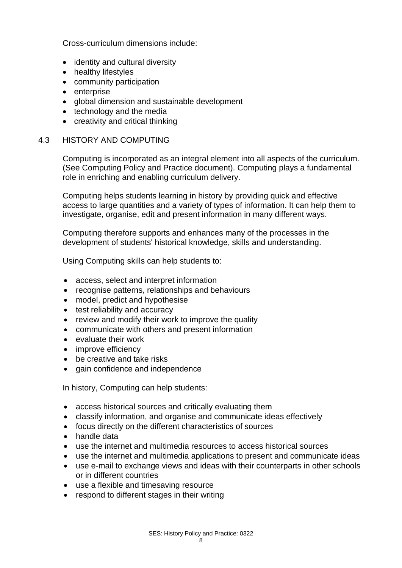Cross-curriculum dimensions include:

- identity and cultural diversity
- healthy lifestyles
- community participation
- enterprise
- global dimension and sustainable development
- technology and the media
- creativity and critical thinking

#### 4.3 HISTORY AND COMPUTING

Computing is incorporated as an integral element into all aspects of the curriculum. (See Computing Policy and Practice document). Computing plays a fundamental role in enriching and enabling curriculum delivery.

Computing helps students learning in history by providing quick and effective access to large quantities and a variety of types of information. It can help them to investigate, organise, edit and present information in many different ways.

Computing therefore supports and enhances many of the processes in the development of students' historical knowledge, skills and understanding.

Using Computing skills can help students to:

- access, select and interpret information
- recognise patterns, relationships and behaviours
- model, predict and hypothesise
- test reliability and accuracy
- review and modify their work to improve the quality
- communicate with others and present information
- evaluate their work
- improve efficiency
- be creative and take risks
- gain confidence and independence

In history, Computing can help students:

- access historical sources and critically evaluating them
- classify information, and organise and communicate ideas effectively
- focus directly on the different characteristics of sources
- handle data
- use the internet and multimedia resources to access historical sources
- use the internet and multimedia applications to present and communicate ideas
- use e-mail to exchange views and ideas with their counterparts in other schools or in different countries
- use a flexible and timesaving resource
- respond to different stages in their writing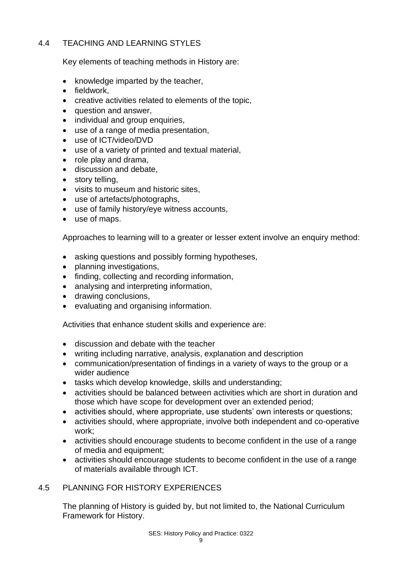# 4.4 TEACHING AND LEARNING STYLES

Key elements of teaching methods in History are:

- knowledge imparted by the teacher,
- fieldwork,
- creative activities related to elements of the topic,
- question and answer,
- individual and group enquiries,
- use of a range of media presentation.
- use of ICT/video/DVD
- use of a variety of printed and textual material,
- role play and drama,
- discussion and debate,
- story telling,
- visits to museum and historic sites,
- use of artefacts/photographs,
- use of family history/eye witness accounts,
- use of maps.

Approaches to learning will to a greater or lesser extent involve an enquiry method:

- asking questions and possibly forming hypotheses,
- planning investigations,
- finding, collecting and recording information,
- analysing and interpreting information,
- drawing conclusions,
- evaluating and organising information.

Activities that enhance student skills and experience are:

- discussion and debate with the teacher
- writing including narrative, analysis, explanation and description
- communication/presentation of findings in a variety of ways to the group or a wider audience
- tasks which develop knowledge, skills and understanding;
- activities should be balanced between activities which are short in duration and those which have scope for development over an extended period;
- activities should, where appropriate, use students' own interests or questions;
- activities should, where appropriate, involve both independent and co-operative work;
- activities should encourage students to become confident in the use of a range of media and equipment;
- activities should encourage students to become confident in the use of a range of materials available through ICT.

# 4.5 PLANNING FOR HISTORY EXPERIENCES

The planning of History is guided by, but not limited to, the National Curriculum Framework for History.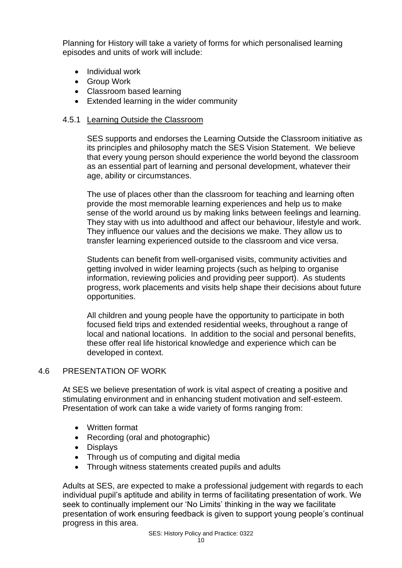Planning for History will take a variety of forms for which personalised learning episodes and units of work will include:

- Individual work
- Group Work
- Classroom based learning
- Extended learning in the wider community

#### 4.5.1 Learning Outside the Classroom

SES supports and endorses the Learning Outside the Classroom initiative as its principles and philosophy match the SES Vision Statement. We believe that every young person should experience the world beyond the classroom as an essential part of learning and personal development, whatever their age, ability or circumstances.

The use of places other than the classroom for teaching and learning often provide the most memorable learning experiences and help us to make sense of the world around us by making links between feelings and learning. They stay with us into adulthood and affect our behaviour, lifestyle and work. They influence our values and the decisions we make. They allow us to transfer learning experienced outside to the classroom and vice versa.

Students can benefit from well-organised visits, community activities and getting involved in wider learning projects (such as helping to organise information, reviewing policies and providing peer support). As students progress, work placements and visits help shape their decisions about future opportunities.

All children and young people have the opportunity to participate in both focused field trips and extended residential weeks, throughout a range of local and national locations. In addition to the social and personal benefits, these offer real life historical knowledge and experience which can be developed in context.

#### 4.6 PRESENTATION OF WORK

At SES we believe presentation of work is vital aspect of creating a positive and stimulating environment and in enhancing student motivation and self-esteem. Presentation of work can take a wide variety of forms ranging from:

- Written format
- Recording (oral and photographic)
- Displays
- Through us of computing and digital media
- Through witness statements created pupils and adults

Adults at SES, are expected to make a professional judgement with regards to each individual pupil's aptitude and ability in terms of facilitating presentation of work. We seek to continually implement our 'No Limits' thinking in the way we facilitate presentation of work ensuring feedback is given to support young people's continual progress in this area.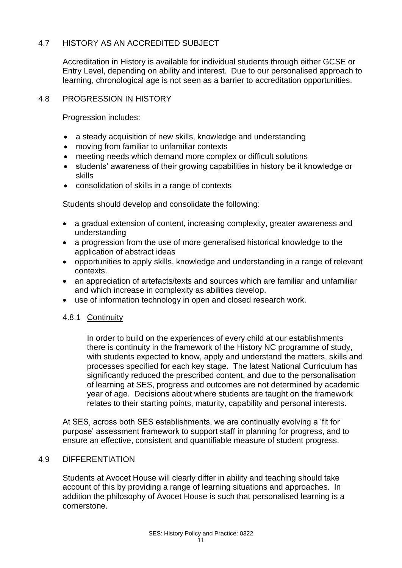# 4.7 HISTORY AS AN ACCREDITED SUBJECT

Accreditation in History is available for individual students through either GCSE or Entry Level, depending on ability and interest. Due to our personalised approach to learning, chronological age is not seen as a barrier to accreditation opportunities.

#### 4.8 PROGRESSION IN HISTORY

Progression includes:

- a steady acquisition of new skills, knowledge and understanding
- moving from familiar to unfamiliar contexts
- meeting needs which demand more complex or difficult solutions
- students' awareness of their growing capabilities in history be it knowledge or skills
- consolidation of skills in a range of contexts

Students should develop and consolidate the following:

- a gradual extension of content, increasing complexity, greater awareness and understanding
- a progression from the use of more generalised historical knowledge to the application of abstract ideas
- opportunities to apply skills, knowledge and understanding in a range of relevant contexts.
- an appreciation of artefacts/texts and sources which are familiar and unfamiliar and which increase in complexity as abilities develop.
- use of information technology in open and closed research work.

#### 4.8.1 Continuity

In order to build on the experiences of every child at our establishments there is continuity in the framework of the History NC programme of study, with students expected to know, apply and understand the matters, skills and processes specified for each key stage. The latest National Curriculum has significantly reduced the prescribed content, and due to the personalisation of learning at SES, progress and outcomes are not determined by academic year of age. Decisions about where students are taught on the framework relates to their starting points, maturity, capability and personal interests.

At SES, across both SES establishments, we are continually evolving a 'fit for purpose' assessment framework to support staff in planning for progress, and to ensure an effective, consistent and quantifiable measure of student progress.

#### 4.9 DIFFERENTIATION

Students at Avocet House will clearly differ in ability and teaching should take account of this by providing a range of learning situations and approaches. In addition the philosophy of Avocet House is such that personalised learning is a cornerstone.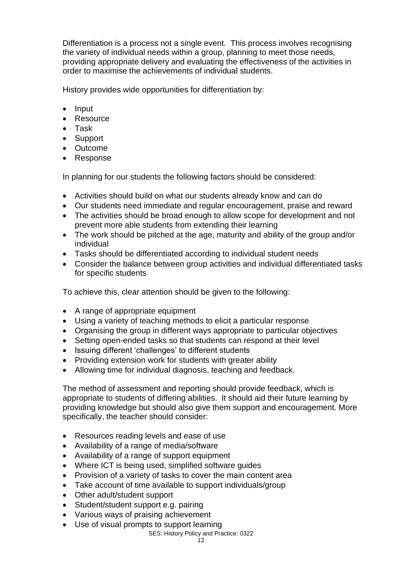Differentiation is a process not a single event. This process involves recognising the variety of individual needs within a group, planning to meet those needs, providing appropriate delivery and evaluating the effectiveness of the activities in order to maximise the achievements of individual students.

History provides wide opportunities for differentiation by:

- Input
- Resource
- Task
- Support
- Outcome
- Response

In planning for our students the following factors should be considered:

- Activities should build on what our students already know and can do
- Our students need immediate and regular encouragement, praise and reward
- The activities should be broad enough to allow scope for development and not prevent more able students from extending their learning
- The work should be pitched at the age, maturity and ability of the group and/or individual
- Tasks should be differentiated according to individual student needs
- Consider the balance between group activities and individual differentiated tasks for specific students

To achieve this, clear attention should be given to the following:

- A range of appropriate equipment
- Using a variety of teaching methods to elicit a particular response
- Organising the group in different ways appropriate to particular objectives
- Setting open-ended tasks so that students can respond at their level
- Issuing different 'challenges' to different students
- Providing extension work for students with greater ability
- Allowing time for individual diagnosis, teaching and feedback.

The method of assessment and reporting should provide feedback, which is appropriate to students of differing abilities. It should aid their future learning by providing knowledge but should also give them support and encouragement. More specifically, the teacher should consider:

- Resources reading levels and ease of use
- Availability of a range of media/software
- Availability of a range of support equipment
- Where ICT is being used, simplified software guides
- Provision of a variety of tasks to cover the main content area
- Take account of time available to support individuals/group
- Other adult/student support
- Student/student support e.g. pairing
- Various ways of praising achievement
- Use of visual prompts to support learning

#### SES: History Policy and Practice: 0322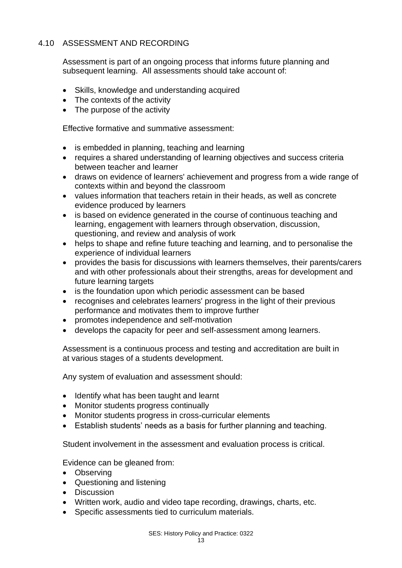# 4.10 ASSESSMENT AND RECORDING

Assessment is part of an ongoing process that informs future planning and subsequent learning. All assessments should take account of:

- Skills, knowledge and understanding acquired
- The contexts of the activity
- The purpose of the activity

Effective formative and summative assessment:

- is embedded in planning, teaching and learning
- requires a shared understanding of learning objectives and success criteria between teacher and learner
- draws on evidence of learners' achievement and progress from a wide range of contexts within and beyond the classroom
- values information that teachers retain in their heads, as well as concrete evidence produced by learners
- is based on evidence generated in the course of continuous teaching and learning, engagement with learners through observation, discussion, questioning, and review and analysis of work
- helps to shape and refine future teaching and learning, and to personalise the experience of individual learners
- provides the basis for discussions with learners themselves, their parents/carers and with other professionals about their strengths, areas for development and future learning targets
- is the foundation upon which periodic assessment can be based
- recognises and celebrates learners' progress in the light of their previous performance and motivates them to improve further
- promotes independence and self-motivation
- develops the capacity for peer and self-assessment among learners.

Assessment is a continuous process and testing and accreditation are built in at various stages of a students development.

Any system of evaluation and assessment should:

- Identify what has been taught and learnt
- Monitor students progress continually
- Monitor students progress in cross-curricular elements
- Establish students' needs as a basis for further planning and teaching.

Student involvement in the assessment and evaluation process is critical.

Evidence can be gleaned from:

- Observing
- Questioning and listening
- Discussion
- Written work, audio and video tape recording, drawings, charts, etc.
- Specific assessments tied to curriculum materials.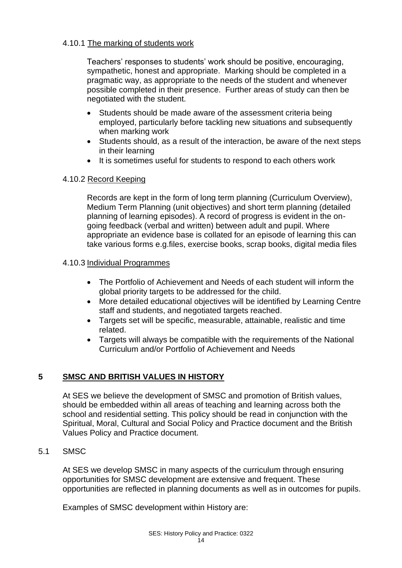# 4.10.1 The marking of students work

Teachers' responses to students' work should be positive, encouraging, sympathetic, honest and appropriate. Marking should be completed in a pragmatic way, as appropriate to the needs of the student and whenever possible completed in their presence. Further areas of study can then be negotiated with the student.

- Students should be made aware of the assessment criteria being employed, particularly before tackling new situations and subsequently when marking work
- Students should, as a result of the interaction, be aware of the next steps in their learning
- It is sometimes useful for students to respond to each others work

#### 4.10.2 Record Keeping

Records are kept in the form of long term planning (Curriculum Overview), Medium Term Planning (unit objectives) and short term planning (detailed planning of learning episodes). A record of progress is evident in the ongoing feedback (verbal and written) between adult and pupil. Where appropriate an evidence base is collated for an episode of learning this can take various forms e.g.files, exercise books, scrap books, digital media files

# 4.10.3 Individual Programmes

- The Portfolio of Achievement and Needs of each student will inform the global priority targets to be addressed for the child.
- More detailed educational objectives will be identified by Learning Centre staff and students, and negotiated targets reached.
- Targets set will be specific, measurable, attainable, realistic and time related.
- Targets will always be compatible with the requirements of the National Curriculum and/or Portfolio of Achievement and Needs

# **5 SMSC AND BRITISH VALUES IN HISTORY**

At SES we believe the development of SMSC and promotion of British values, should be embedded within all areas of teaching and learning across both the school and residential setting. This policy should be read in conjunction with the Spiritual, Moral, Cultural and Social Policy and Practice document and the British Values Policy and Practice document.

#### 5.1 SMSC

At SES we develop SMSC in many aspects of the curriculum through ensuring opportunities for SMSC development are extensive and frequent. These opportunities are reflected in planning documents as well as in outcomes for pupils.

Examples of SMSC development within History are: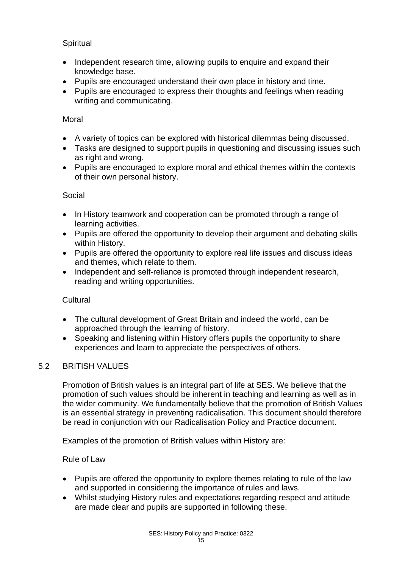# **Spiritual**

- Independent research time, allowing pupils to enquire and expand their knowledge base.
- Pupils are encouraged understand their own place in history and time.
- Pupils are encouraged to express their thoughts and feelings when reading writing and communicating.

#### **Moral**

- A variety of topics can be explored with historical dilemmas being discussed.
- Tasks are designed to support pupils in questioning and discussing issues such as right and wrong.
- Pupils are encouraged to explore moral and ethical themes within the contexts of their own personal history.

#### Social

- In History teamwork and cooperation can be promoted through a range of learning activities.
- Pupils are offered the opportunity to develop their argument and debating skills within History.
- Pupils are offered the opportunity to explore real life issues and discuss ideas and themes, which relate to them.
- Independent and self-reliance is promoted through independent research, reading and writing opportunities.

#### **Cultural**

- The cultural development of Great Britain and indeed the world, can be approached through the learning of history.
- Speaking and listening within History offers pupils the opportunity to share experiences and learn to appreciate the perspectives of others.

#### 5.2 BRITISH VALUES

Promotion of British values is an integral part of life at SES. We believe that the promotion of such values should be inherent in teaching and learning as well as in the wider community. We fundamentally believe that the promotion of British Values is an essential strategy in preventing radicalisation. This document should therefore be read in conjunction with our Radicalisation Policy and Practice document.

Examples of the promotion of British values within History are:

#### Rule of Law

- Pupils are offered the opportunity to explore themes relating to rule of the law and supported in considering the importance of rules and laws.
- Whilst studying History rules and expectations regarding respect and attitude are made clear and pupils are supported in following these.